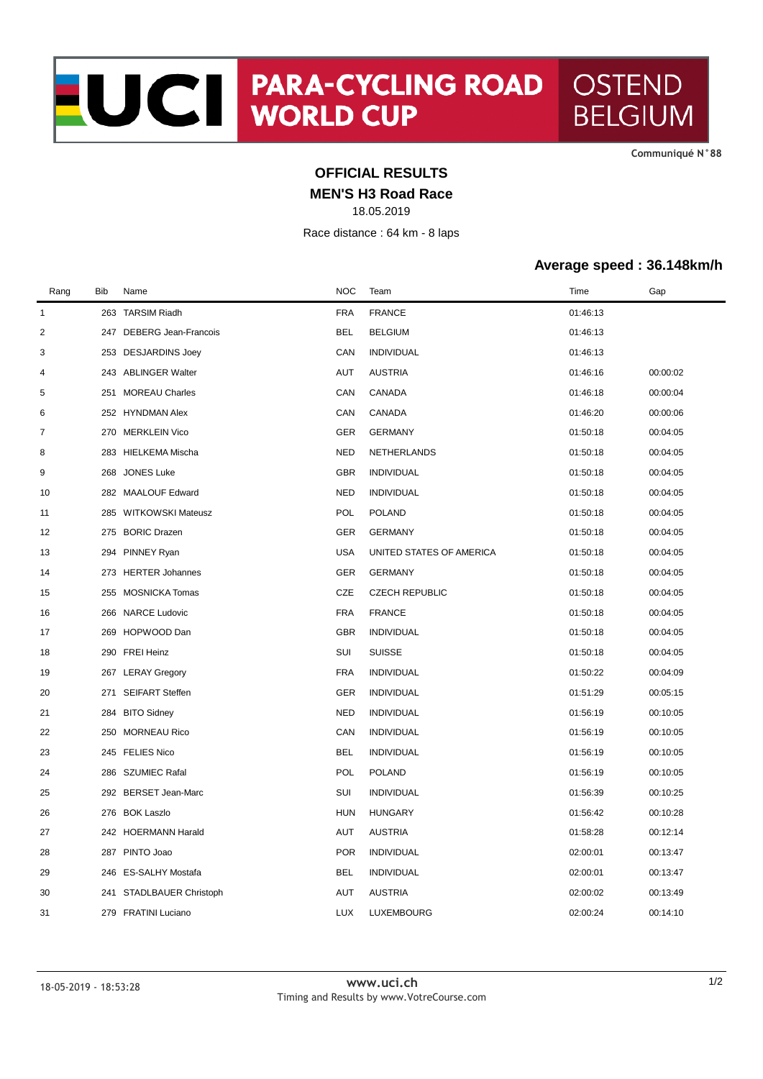**CommuniquÈ N°88**

## **OFFICIAL RESULTS**

**MEN'S H3 Road Race**

18.05.2019

Race distance : 64 km - 8 laps

## **Average speed : 36.148km/h**

| Rang           | Bib | Name                     | <b>NOC</b> | Team                     | Time     | Gap      |
|----------------|-----|--------------------------|------------|--------------------------|----------|----------|
| $\mathbf{1}$   |     | 263 TARSIM Riadh         | <b>FRA</b> | <b>FRANCE</b>            | 01:46:13 |          |
| $\overline{2}$ |     | 247 DEBERG Jean-Francois | <b>BEL</b> | <b>BELGIUM</b>           | 01:46:13 |          |
| 3              |     | 253 DESJARDINS Joey      | CAN        | <b>INDIVIDUAL</b>        | 01:46:13 |          |
| $\overline{4}$ |     | 243 ABLINGER Walter      | AUT        | <b>AUSTRIA</b>           | 01:46:16 | 00:00:02 |
| 5              |     | 251 MOREAU Charles       | CAN        | CANADA                   | 01:46:18 | 00:00:04 |
| 6              |     | 252 HYNDMAN Alex         | CAN        | CANADA                   | 01:46:20 | 00:00:06 |
| 7              | 270 | <b>MERKLEIN Vico</b>     | <b>GER</b> | <b>GERMANY</b>           | 01:50:18 | 00:04:05 |
| 8              |     | 283 HIELKEMA Mischa      | <b>NED</b> | NETHERLANDS              | 01:50:18 | 00:04:05 |
| 9              | 268 | <b>JONES Luke</b>        | <b>GBR</b> | <b>INDIVIDUAL</b>        | 01:50:18 | 00:04:05 |
| 10             | 282 | <b>MAALOUF Edward</b>    | <b>NED</b> | <b>INDIVIDUAL</b>        | 01:50:18 | 00:04:05 |
| 11             | 285 | WITKOWSKI Mateusz        | <b>POL</b> | <b>POLAND</b>            | 01:50:18 | 00:04:05 |
| 12             |     | 275 BORIC Drazen         | <b>GER</b> | <b>GERMANY</b>           | 01:50:18 | 00:04:05 |
| 13             | 294 | PINNEY Ryan              | <b>USA</b> | UNITED STATES OF AMERICA | 01:50:18 | 00:04:05 |
| 14             |     | 273 HERTER Johannes      | GER        | <b>GERMANY</b>           | 01:50:18 | 00:04:05 |
| 15             | 255 | <b>MOSNICKA Tomas</b>    | CZE        | <b>CZECH REPUBLIC</b>    | 01:50:18 | 00:04:05 |
| 16             | 266 | <b>NARCE Ludovic</b>     | <b>FRA</b> | <b>FRANCE</b>            | 01:50:18 | 00:04:05 |
| 17             | 269 | HOPWOOD Dan              | <b>GBR</b> | <b>INDIVIDUAL</b>        | 01:50:18 | 00:04:05 |
| 18             |     | 290 FREI Heinz           | SUI        | <b>SUISSE</b>            | 01:50:18 | 00:04:05 |
| 19             |     | 267 LERAY Gregory        | <b>FRA</b> | <b>INDIVIDUAL</b>        | 01:50:22 | 00:04:09 |
| 20             | 271 | <b>SEIFART Steffen</b>   | <b>GER</b> | <b>INDIVIDUAL</b>        | 01:51:29 | 00:05:15 |
| 21             | 284 | <b>BITO Sidney</b>       | <b>NED</b> | <b>INDIVIDUAL</b>        | 01:56:19 | 00:10:05 |
| 22             | 250 | <b>MORNEAU Rico</b>      | CAN        | <b>INDIVIDUAL</b>        | 01:56:19 | 00:10:05 |
| 23             |     | 245 FELIES Nico          | <b>BEL</b> | <b>INDIVIDUAL</b>        | 01:56:19 | 00:10:05 |
| 24             | 286 | SZUMIEC Rafal            | POL        | <b>POLAND</b>            | 01:56:19 | 00:10:05 |
| 25             | 292 | BERSET Jean-Marc         | SUI        | <b>INDIVIDUAL</b>        | 01:56:39 | 00:10:25 |
| 26             |     | 276 BOK Laszlo           | <b>HUN</b> | <b>HUNGARY</b>           | 01:56:42 | 00:10:28 |
| 27             |     | 242 HOERMANN Harald      | <b>AUT</b> | <b>AUSTRIA</b>           | 01:58:28 | 00:12:14 |
| 28             | 287 | PINTO Joao               | <b>POR</b> | <b>INDIVIDUAL</b>        | 02:00:01 | 00:13:47 |
| 29             | 246 | ES-SALHY Mostafa         | <b>BEL</b> | <b>INDIVIDUAL</b>        | 02:00:01 | 00:13:47 |
| 30             | 241 | STADLBAUER Christoph     | AUT        | <b>AUSTRIA</b>           | 02:00:02 | 00:13:49 |
| 31             |     | 279 FRATINI Luciano      | <b>LUX</b> | LUXEMBOURG               | 02:00:24 | 00:14:10 |